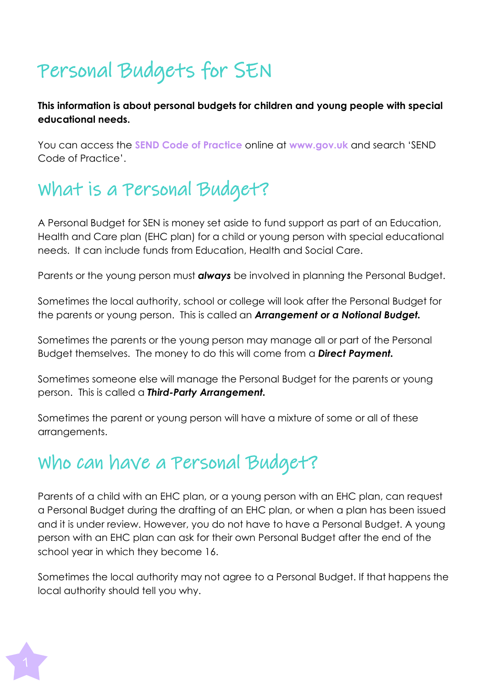# Personal Budgets for SEN

**This information is about personal budgets for children and young people with special educational needs.**

You can access the **SEND Code of Practice** online at **[www.gov.uk](http://www.gov.uk/)** and search 'SEND Code of Practice'.

### What is a Personal Budget?

A Personal Budget for SEN is money set aside to fund support as part of an Education, Health and Care plan (EHC plan) for a child or young person with special educational needs. It can include funds from Education, Health and Social Care.

Parents or the young person must *always* be involved in planning the Personal Budget.

Sometimes the local authority, school or college will look after the Personal Budget for the parents or young person. This is called an *Arrangement or a Notional Budget.*

Sometimes the parents or the young person may manage all or part of the Personal Budget themselves. The money to do this will come from a *Direct Payment.*

Sometimes someone else will manage the Personal Budget for the parents or young person. This is called a *Third-Party Arrangement.*

Sometimes the parent or young person will have a mixture of some or all of these arrangements.

#### Who can have a Personal Budget?

Parents of a child with an EHC plan, or a young person with an EHC plan, can request a Personal Budget during the drafting of an EHC plan, or when a plan has been issued and it is under review. However, you do not have to have a Personal Budget. A young person with an EHC plan can ask for their own Personal Budget after the end of the school year in which they become 16.

Sometimes the local authority may not agree to a Personal Budget. If that happens the local authority should tell you why.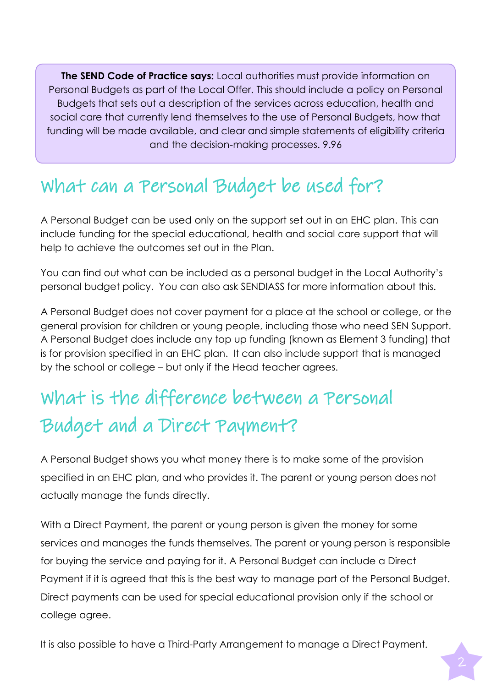**The SEND Code of Practice says:** Local authorities must provide information on Personal Budgets as part of the Local Offer. This should include a policy on Personal Budgets that sets out a description of the services across education, health and social care that currently lend themselves to the use of Personal Budgets, how that funding will be made available, and clear and simple statements of eligibility criteria and the decision-making processes. 9.96

### What can a Personal Budget be used for?

A Personal Budget can be used only on the support set out in an EHC plan. This can include funding for the special educational, health and social care support that will help to achieve the outcomes set out in the Plan.

You can find out what can be included as a personal budget in the Local Authority's personal budget policy. You can also ask SENDIASS for more information about this.

A Personal Budget does not cover payment for a place at the school or college, or the general provision for children or young people, including those who need SEN Support. A Personal Budget does include any top up funding (known as Element 3 funding) that is for provision specified in an EHC plan. It can also include support that is managed by the school or college – but only if the Head teacher agrees.

## What is the difference between a Personal Budget and a Direct Payment?

A Personal Budget shows you what money there is to make some of the provision specified in an EHC plan, and who provides it. The parent or young person does not actually manage the funds directly.

With a Direct Payment, the parent or young person is given the money for some services and manages the funds themselves. The parent or young person is responsible for buying the service and paying for it. A Personal Budget can include a Direct Payment if it is agreed that this is the best way to manage part of the Personal Budget. Direct payments can be used for special educational provision only if the school or college agree.

It is also possible to have a Third-Party Arrangement to manage a Direct Payment.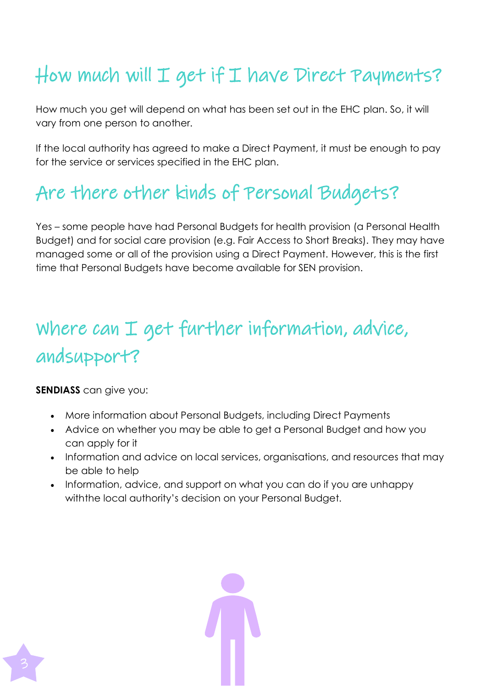## How much will  $I$  get if  $I$  have Direct Payments?

How much you get will depend on what has been set out in the EHC plan. So, it will vary from one person to another.

If the local authority has agreed to make a Direct Payment, it must be enough to pay for the service or services specified in the EHC plan.

## Are there other kinds of Personal Budgets?

Yes – some people have had Personal Budgets for health provision (a Personal Health Budget) and for social care provision (e.g. Fair Access to Short Breaks). They may have managed some or all of the provision using a Direct Payment. However, this is the first time that Personal Budgets have become available for SEN provision.

# where can I get further information, advice, and support?

**SENDIASS** can give you:

- More information about Personal Budgets, including Direct Payments
- Advice on whether you may be able to get a Personal Budget and how you can apply for it
- Information and advice on local services, organisations, and resources that may be able to help
- Information, advice, and support on what you can do if you are unhappy withthe local authority's decision on your Personal Budget.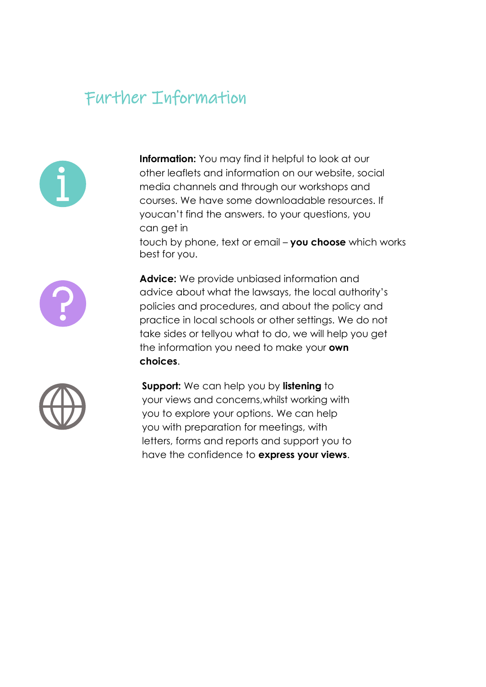#### Further Information



**Information:** You may find it helpful to look at our other leaflets and information on our website, social media channels and through our workshops and courses. We have some downloadable resources. If youcan't find the answers. to your questions, you can get in

touch by phone, text or email – **you choose** which works best for you.



**Advice:** We provide unbiased information and advice about what the lawsays, the local authority's policies and procedures, and about the policy and practice in local schools or other settings. We do not take sides or tellyou what to do, we will help you get the information you need to make your **own choices**.



**Support:** We can help you by **listening** to your views and concerns,whilst working with you to explore your options. We can help you with preparation for meetings, with letters, forms and reports and support you to have the confidence to **express your views**.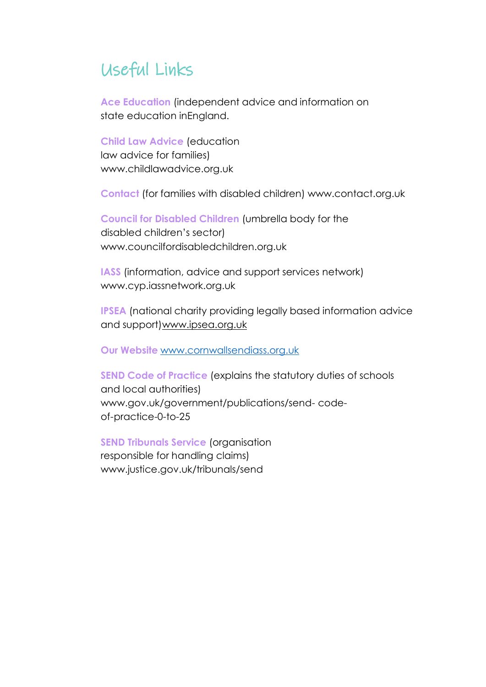#### Useful Links

**Ace Education** (independent advice and information on state education inEngland.

**Child Law Advice** (education law advice for families) [www.childlawadvice.org.uk](http://www.childlawadvice.org.uk/)

**Contact** (for families with disabled children) [www.contact.org.uk](http://www.contact.org.uk/)

**Council for Disabled Children** (umbrella body for the disabled children's sector) [www.councilfordisabledchildren.org.uk](http://www.councilfordisabledchildren.org.uk/)

**IASS** (information, advice and support services network) [www.cyp.iassnetwork.org.uk](http://www.cyp.iassnetwork.org.uk/)

**IPSEA** (national charity providing legally based information advice and support[\)www.ipsea.org.uk](http://www.ipsea.org.uk/)

**Our Website** [www.cornwallsendiass.org.uk](http://www.cornwallsendiass.org.uk/)

**SEND Code of Practice** (explains the statutory duties of schools and local authorities) [www.gov.uk/government/publications/send-](http://www.gov.uk/government/publications/send-) codeof-practice-0-to-25

**SEND Tribunals Service** (organisation responsible for handling claims) [www.justice.gov.uk/tribunals/send](http://www.justice.gov.uk/tribunals/send)